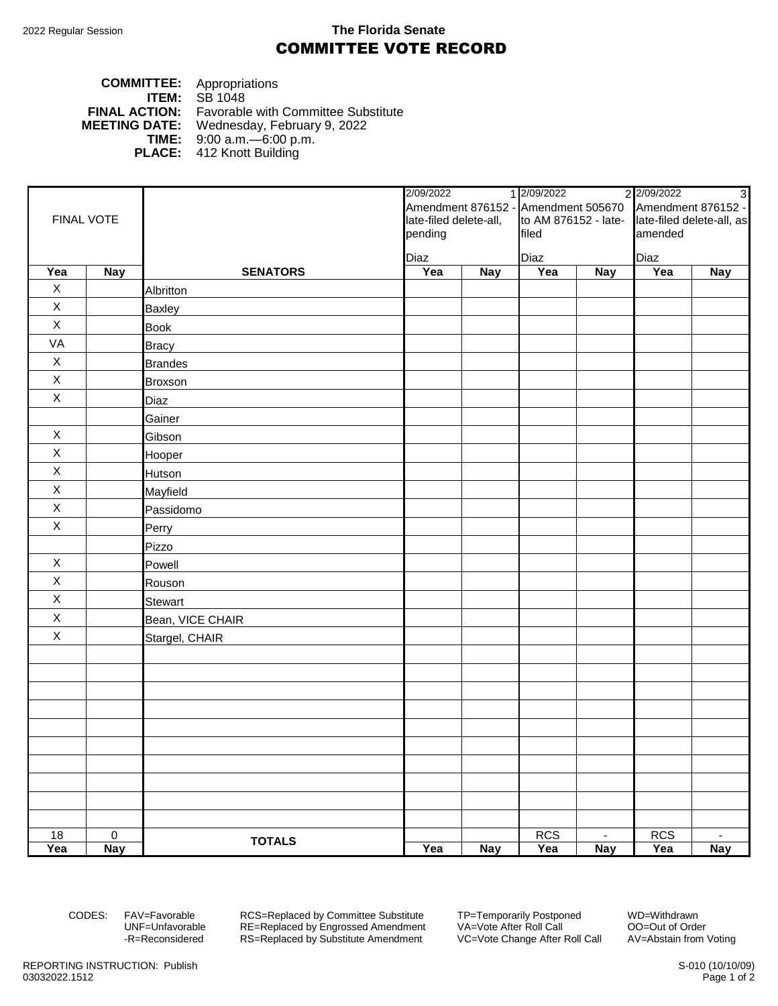## 2022 Regular Session **The Florida Senate** COMMITTEE VOTE RECORD

## **COMMITTEE:** Appropriations **ITEM:** SB 1048 **FINAL ACTION:** Favorable with Committee Substitute **MEETING DATE:** Wednesday, February 9, 2022 **TIME:** 9:00 a.m.—6:00 p.m. **PLACE:** 412 Knott Building

| FINAL VOTE  |                     |                  | 2/09/2022<br>Amendment 876152 - Amendment 505670<br>late-filed delete-all, |            | 1 2/09/2022<br>to AM 876152 - late- |                | 2 2/09/2022               | $\omega$       |
|-------------|---------------------|------------------|----------------------------------------------------------------------------|------------|-------------------------------------|----------------|---------------------------|----------------|
|             |                     |                  |                                                                            |            |                                     |                | Amendment 876152 -        |                |
|             |                     |                  |                                                                            |            |                                     |                | late-filed delete-all, as |                |
|             |                     |                  | pending                                                                    |            | filed                               |                | amended                   |                |
|             |                     |                  | Diaz                                                                       |            | Diaz                                |                | Diaz                      |                |
| Yea         | <b>Nay</b>          | <b>SENATORS</b>  | Yea                                                                        | <b>Nay</b> | Yea                                 | <b>Nay</b>     | Yea                       | <b>Nay</b>     |
| $\mathsf X$ |                     | Albritton        |                                                                            |            |                                     |                |                           |                |
| $\mathsf X$ |                     | <b>Baxley</b>    |                                                                            |            |                                     |                |                           |                |
| $\mathsf X$ |                     | <b>Book</b>      |                                                                            |            |                                     |                |                           |                |
| VA          |                     | <b>Bracy</b>     |                                                                            |            |                                     |                |                           |                |
| $\mathsf X$ |                     | <b>Brandes</b>   |                                                                            |            |                                     |                |                           |                |
| $\mathsf X$ |                     | Broxson          |                                                                            |            |                                     |                |                           |                |
| $\mathsf X$ |                     | Diaz             |                                                                            |            |                                     |                |                           |                |
|             |                     | Gainer           |                                                                            |            |                                     |                |                           |                |
| $\mathsf X$ |                     | Gibson           |                                                                            |            |                                     |                |                           |                |
| $\mathsf X$ |                     | Hooper           |                                                                            |            |                                     |                |                           |                |
| $\mathsf X$ |                     | Hutson           |                                                                            |            |                                     |                |                           |                |
| $\mathsf X$ |                     | Mayfield         |                                                                            |            |                                     |                |                           |                |
| $\mathsf X$ |                     | Passidomo        |                                                                            |            |                                     |                |                           |                |
| $\mathsf X$ |                     | Perry            |                                                                            |            |                                     |                |                           |                |
|             |                     | Pizzo            |                                                                            |            |                                     |                |                           |                |
| X           |                     | Powell           |                                                                            |            |                                     |                |                           |                |
| $\mathsf X$ |                     | Rouson           |                                                                            |            |                                     |                |                           |                |
| $\mathsf X$ |                     | <b>Stewart</b>   |                                                                            |            |                                     |                |                           |                |
| $\mathsf X$ |                     | Bean, VICE CHAIR |                                                                            |            |                                     |                |                           |                |
| $\mathsf X$ |                     | Stargel, CHAIR   |                                                                            |            |                                     |                |                           |                |
|             |                     |                  |                                                                            |            |                                     |                |                           |                |
|             |                     |                  |                                                                            |            |                                     |                |                           |                |
|             |                     |                  |                                                                            |            |                                     |                |                           |                |
|             |                     |                  |                                                                            |            |                                     |                |                           |                |
|             |                     |                  |                                                                            |            |                                     |                |                           |                |
|             |                     |                  |                                                                            |            |                                     |                |                           |                |
|             |                     |                  |                                                                            |            |                                     |                |                           |                |
|             |                     |                  |                                                                            |            |                                     |                |                           |                |
|             |                     |                  |                                                                            |            |                                     |                |                           |                |
|             |                     |                  |                                                                            |            |                                     |                |                           |                |
| 18          | $\mathsf{O}\xspace$ | <b>TOTALS</b>    |                                                                            |            | RCS                                 | $\blacksquare$ | <b>RCS</b>                | $\blacksquare$ |
| Yea         | <b>Nay</b>          |                  | Yea                                                                        | <b>Nay</b> | Yea                                 | <b>Nay</b>     | Yea                       | <b>Nay</b>     |

CODES: FAV=Favorable RCS=Replaced by Committee Substitute TP=Temporarily Postponed WD=Withdrawn<br>UNF=Unfavorable RE=Replaced by Engrossed Amendment VA=Vote After Roll Call 00=Out of Order UNF=Unfavorable RE=Replaced by Engrossed Amendment<br>-R=Reconsidered RS=Replaced by Substitute Amendment RS=Replaced by Substitute Amendment VC=Vote Change After Roll Call AV=Abstain from Voting